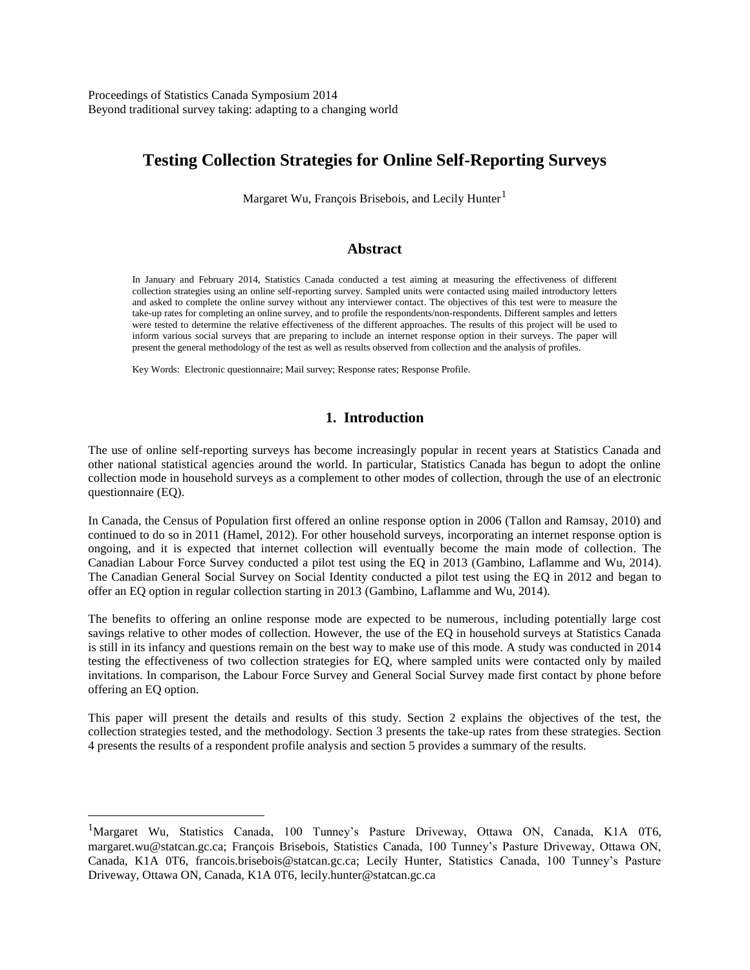# **Testing Collection Strategies for Online Self-Reporting Surveys**

Margaret Wu, François Brisebois, and Lecily Hunter<sup>1</sup>

#### **Abstract**

In January and February 2014, Statistics Canada conducted a test aiming at measuring the effectiveness of different collection strategies using an online self-reporting survey. Sampled units were contacted using mailed introductory letters and asked to complete the online survey without any interviewer contact. The objectives of this test were to measure the take-up rates for completing an online survey, and to profile the respondents/non-respondents. Different samples and letters were tested to determine the relative effectiveness of the different approaches. The results of this project will be used to inform various social surveys that are preparing to include an internet response option in their surveys. The paper will present the general methodology of the test as well as results observed from collection and the analysis of profiles.

Key Words: Electronic questionnaire; Mail survey; Response rates; Response Profile.

## **1. Introduction**

The use of online self-reporting surveys has become increasingly popular in recent years at Statistics Canada and other national statistical agencies around the world. In particular, Statistics Canada has begun to adopt the online collection mode in household surveys as a complement to other modes of collection, through the use of an electronic questionnaire (EQ).

In Canada, the Census of Population first offered an online response option in 2006 (Tallon and Ramsay, 2010) and continued to do so in 2011 (Hamel, 2012). For other household surveys, incorporating an internet response option is ongoing, and it is expected that internet collection will eventually become the main mode of collection. The Canadian Labour Force Survey conducted a pilot test using the EQ in 2013 (Gambino, Laflamme and Wu, 2014). The Canadian General Social Survey on Social Identity conducted a pilot test using the EQ in 2012 and began to offer an EQ option in regular collection starting in 2013 (Gambino, Laflamme and Wu, 2014).

The benefits to offering an online response mode are expected to be numerous, including potentially large cost savings relative to other modes of collection. However, the use of the EQ in household surveys at Statistics Canada is still in its infancy and questions remain on the best way to make use of this mode. A study was conducted in 2014 testing the effectiveness of two collection strategies for EQ, where sampled units were contacted only by mailed invitations. In comparison, the Labour Force Survey and General Social Survey made first contact by phone before offering an EQ option.

This paper will present the details and results of this study. Section 2 explains the objectives of the test, the collection strategies tested, and the methodology. Section 3 presents the take-up rates from these strategies. Section 4 presents the results of a respondent profile analysis and section 5 provides a summary of the results.

 $\overline{a}$ 

<sup>&</sup>lt;sup>1</sup>Margaret Wu, Statistics Canada, 100 Tunney's Pasture Driveway, Ottawa ON, Canada, K1A 0T6, margaret.wu@statcan.gc.ca; François Brisebois, Statistics Canada, 100 Tunney's Pasture Driveway, Ottawa ON, Canada, K1A 0T6, francois.brisebois@statcan.gc.ca; Lecily Hunter, Statistics Canada, 100 Tunney's Pasture Driveway, Ottawa ON, Canada, K1A 0T6, lecily.hunter@statcan.gc.ca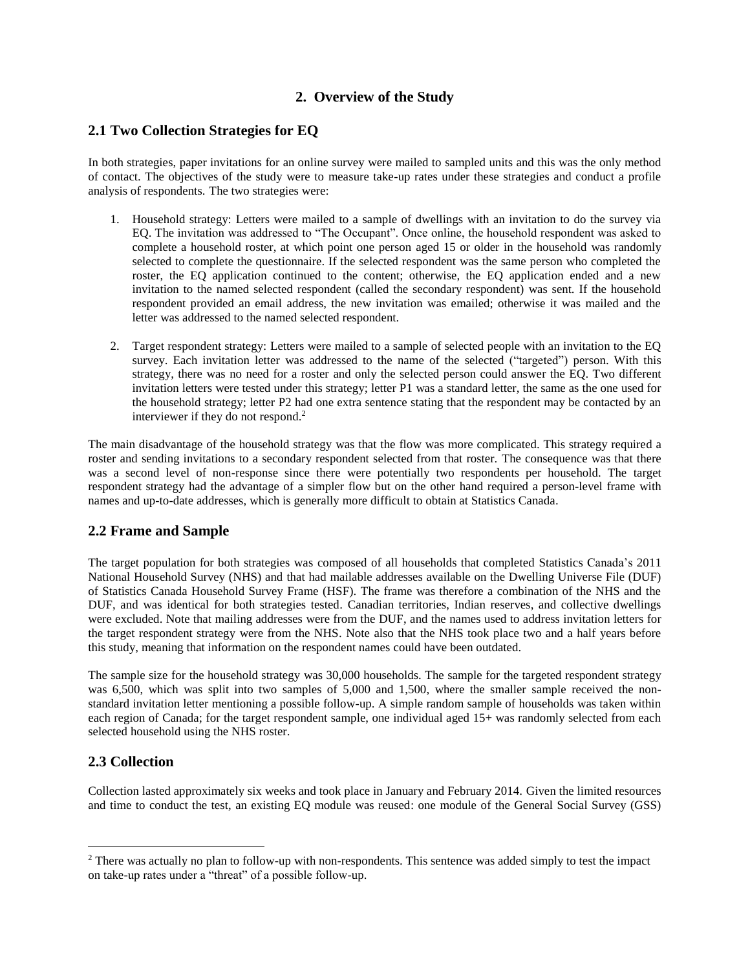## **2. Overview of the Study**

## **2.1 Two Collection Strategies for EQ**

In both strategies, paper invitations for an online survey were mailed to sampled units and this was the only method of contact. The objectives of the study were to measure take-up rates under these strategies and conduct a profile analysis of respondents. The two strategies were:

- 1. Household strategy: Letters were mailed to a sample of dwellings with an invitation to do the survey via EQ. The invitation was addressed to "The Occupant". Once online, the household respondent was asked to complete a household roster, at which point one person aged 15 or older in the household was randomly selected to complete the questionnaire. If the selected respondent was the same person who completed the roster, the EQ application continued to the content; otherwise, the EQ application ended and a new invitation to the named selected respondent (called the secondary respondent) was sent. If the household respondent provided an email address, the new invitation was emailed; otherwise it was mailed and the letter was addressed to the named selected respondent.
- 2. Target respondent strategy: Letters were mailed to a sample of selected people with an invitation to the EQ survey. Each invitation letter was addressed to the name of the selected ("targeted") person. With this strategy, there was no need for a roster and only the selected person could answer the EQ. Two different invitation letters were tested under this strategy; letter P1 was a standard letter, the same as the one used for the household strategy; letter P2 had one extra sentence stating that the respondent may be contacted by an interviewer if they do not respond. 2

The main disadvantage of the household strategy was that the flow was more complicated. This strategy required a roster and sending invitations to a secondary respondent selected from that roster. The consequence was that there was a second level of non-response since there were potentially two respondents per household. The target respondent strategy had the advantage of a simpler flow but on the other hand required a person-level frame with names and up-to-date addresses, which is generally more difficult to obtain at Statistics Canada.

## **2.2 Frame and Sample**

The target population for both strategies was composed of all households that completed Statistics Canada's 2011 National Household Survey (NHS) and that had mailable addresses available on the Dwelling Universe File (DUF) of Statistics Canada Household Survey Frame (HSF). The frame was therefore a combination of the NHS and the DUF, and was identical for both strategies tested. Canadian territories, Indian reserves, and collective dwellings were excluded. Note that mailing addresses were from the DUF, and the names used to address invitation letters for the target respondent strategy were from the NHS. Note also that the NHS took place two and a half years before this study, meaning that information on the respondent names could have been outdated.

The sample size for the household strategy was 30,000 households. The sample for the targeted respondent strategy was 6,500, which was split into two samples of 5,000 and 1,500, where the smaller sample received the nonstandard invitation letter mentioning a possible follow-up. A simple random sample of households was taken within each region of Canada; for the target respondent sample, one individual aged 15+ was randomly selected from each selected household using the NHS roster.

## **2.3 Collection**

 $\overline{a}$ 

Collection lasted approximately six weeks and took place in January and February 2014. Given the limited resources and time to conduct the test, an existing EQ module was reused: one module of the General Social Survey (GSS)

<sup>&</sup>lt;sup>2</sup> There was actually no plan to follow-up with non-respondents. This sentence was added simply to test the impact on take-up rates under a "threat" of a possible follow-up.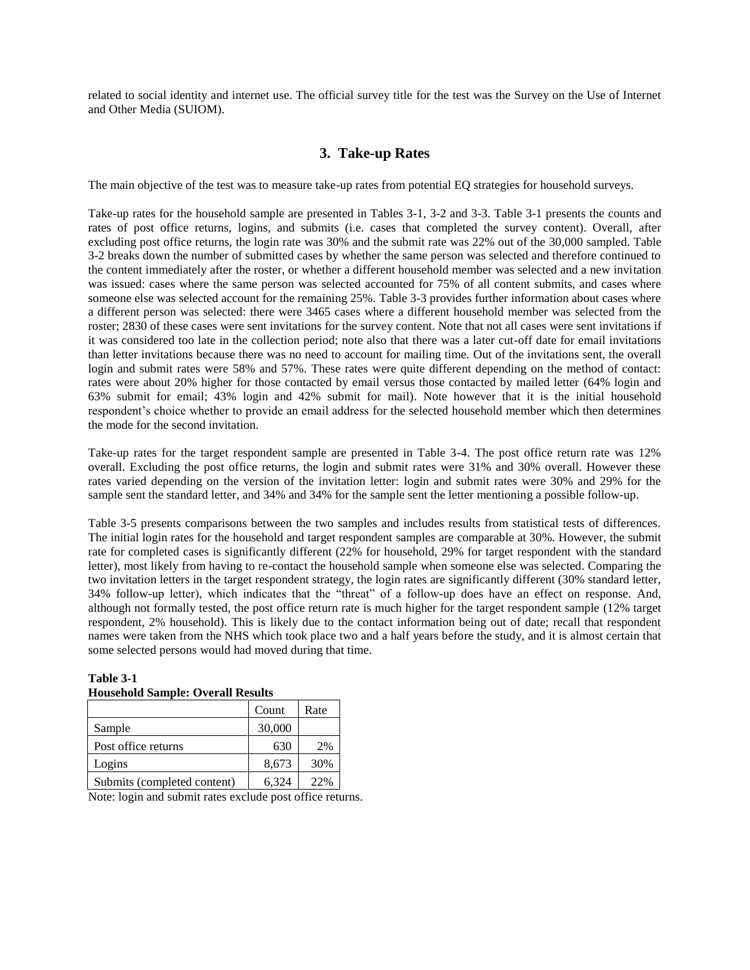related to social identity and internet use. The official survey title for the test was the Survey on the Use of Internet and Other Media (SUIOM).

## **3. Take-up Rates**

The main objective of the test was to measure take-up rates from potential EQ strategies for household surveys.

Take-up rates for the household sample are presented in Tables 3-1, 3-2 and 3-3. Table 3-1 presents the counts and rates of post office returns, logins, and submits (i.e. cases that completed the survey content). Overall, after excluding post office returns, the login rate was 30% and the submit rate was 22% out of the 30,000 sampled. Table 3-2 breaks down the number of submitted cases by whether the same person was selected and therefore continued to the content immediately after the roster, or whether a different household member was selected and a new invitation was issued: cases where the same person was selected accounted for 75% of all content submits, and cases where someone else was selected account for the remaining 25%. Table 3-3 provides further information about cases where a different person was selected: there were 3465 cases where a different household member was selected from the roster; 2830 of these cases were sent invitations for the survey content. Note that not all cases were sent invitations if it was considered too late in the collection period; note also that there was a later cut-off date for email invitations than letter invitations because there was no need to account for mailing time. Out of the invitations sent, the overall login and submit rates were 58% and 57%. These rates were quite different depending on the method of contact: rates were about 20% higher for those contacted by email versus those contacted by mailed letter (64% login and 63% submit for email; 43% login and 42% submit for mail). Note however that it is the initial household respondent's choice whether to provide an email address for the selected household member which then determines the mode for the second invitation.

Take-up rates for the target respondent sample are presented in Table 3-4. The post office return rate was 12% overall. Excluding the post office returns, the login and submit rates were 31% and 30% overall. However these rates varied depending on the version of the invitation letter: login and submit rates were 30% and 29% for the sample sent the standard letter, and 34% and 34% for the sample sent the letter mentioning a possible follow-up.

Table 3-5 presents comparisons between the two samples and includes results from statistical tests of differences. The initial login rates for the household and target respondent samples are comparable at 30%. However, the submit rate for completed cases is significantly different (22% for household, 29% for target respondent with the standard letter), most likely from having to re-contact the household sample when someone else was selected. Comparing the two invitation letters in the target respondent strategy, the login rates are significantly different (30% standard letter, 34% follow-up letter), which indicates that the "threat" of a follow-up does have an effect on response. And, although not formally tested, the post office return rate is much higher for the target respondent sample (12% target respondent, 2% household). This is likely due to the contact information being out of date; recall that respondent names were taken from the NHS which took place two and a half years before the study, and it is almost certain that some selected persons would had moved during that time.

# Count | Rate Sample 30,000 Post office returns 630 2% Logins  $8,673$  30% Submits (completed content) 6,324 22%

**Table 3-1 Household Sample: Overall Results**

Note: login and submit rates exclude post office returns.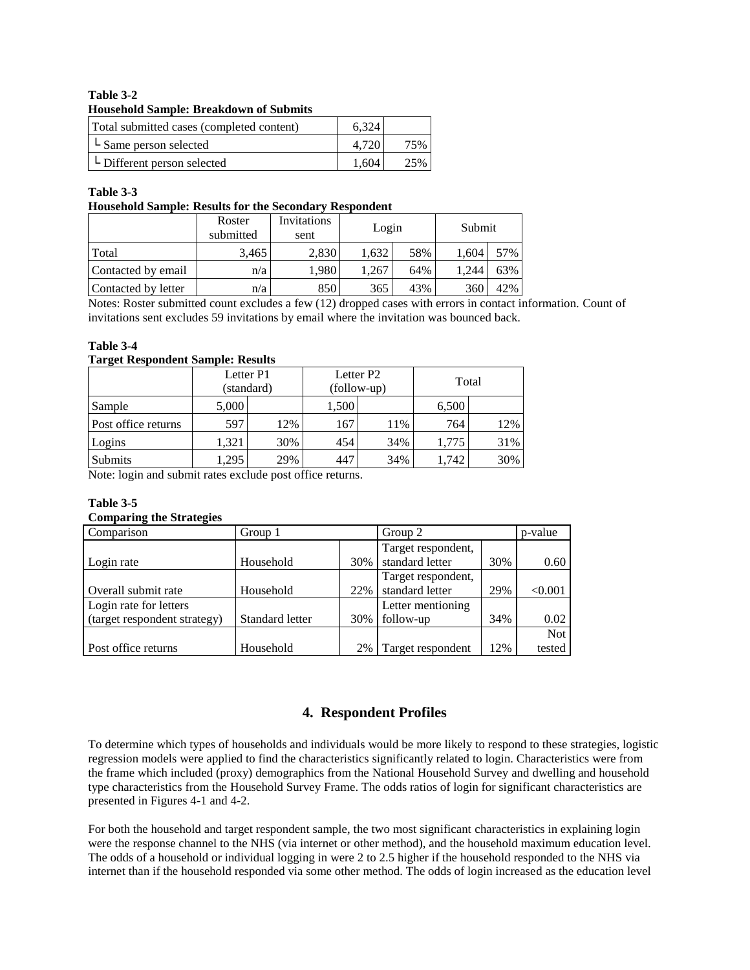#### **Table 3-2 Household Sample: Breakdown of Submits**

| Total submitted cases (completed content) | 6.324 |  |
|-------------------------------------------|-------|--|
| L Same person selected                    | 4.720 |  |
| $\mathsf{L}$ Different person selected    | 1.604 |  |

### **Table 3-3**

#### **Household Sample: Results for the Secondary Respondent**

|                     | Roster<br>submitted | Invitations<br>sent | Login |     | Submit |     |
|---------------------|---------------------|---------------------|-------|-----|--------|-----|
| Total               | 3.465               | 2.830               | 1.632 | 58% | 1.604  | 57% |
| Contacted by email  | n/a                 | 1.980               | .267  | 64% | 1.244  | 63% |
| Contacted by letter | n/a                 | 850                 | 365   | 43% | 360    | 42% |

Notes: Roster submitted count excludes a few (12) dropped cases with errors in contact information. Count of invitations sent excludes 59 invitations by email where the invitation was bounced back.

### **Table 3-4**

#### **Target Respondent Sample: Results**

| -                   |           |            |                                      |     |       |     |
|---------------------|-----------|------------|--------------------------------------|-----|-------|-----|
|                     | Letter P1 | (standard) | Letter P <sub>2</sub><br>(follow-up) |     | Total |     |
| Sample              | 5,000     |            | 1,500                                |     | 6,500 |     |
| Post office returns | 597       | 12%        | 167                                  | 11% | 764   | 12% |
| Logins              | 1.321     | 30%        | 454                                  | 34% | 1.775 | 31% |
| <b>Submits</b>      | ,295      | 29%        | 447                                  | 34% | ,742  | 30% |

Note: login and submit rates exclude post office returns.

## **Table 3-5**

#### **Comparing the Strategies**

| Comparison                   | Group 1         |     | Group 2            |     | p-value    |
|------------------------------|-----------------|-----|--------------------|-----|------------|
|                              |                 |     | Target respondent, |     |            |
| Login rate                   | Household       | 30% | standard letter    | 30% | 0.60       |
|                              |                 |     | Target respondent, |     |            |
| Overall submit rate          | Household       | 22% | standard letter    | 29% | < 0.001    |
| Login rate for letters       |                 |     | Letter mentioning  |     |            |
| (target respondent strategy) | Standard letter | 30% | follow-up          | 34% | 0.02       |
|                              |                 |     |                    |     | <b>Not</b> |
| Post office returns          | Household       | 2%  | Target respondent  | 12% | tested     |

## **4. Respondent Profiles**

To determine which types of households and individuals would be more likely to respond to these strategies, logistic regression models were applied to find the characteristics significantly related to login. Characteristics were from the frame which included (proxy) demographics from the National Household Survey and dwelling and household type characteristics from the Household Survey Frame. The odds ratios of login for significant characteristics are presented in Figures 4-1 and 4-2.

For both the household and target respondent sample, the two most significant characteristics in explaining login were the response channel to the NHS (via internet or other method), and the household maximum education level. The odds of a household or individual logging in were 2 to 2.5 higher if the household responded to the NHS via internet than if the household responded via some other method. The odds of login increased as the education level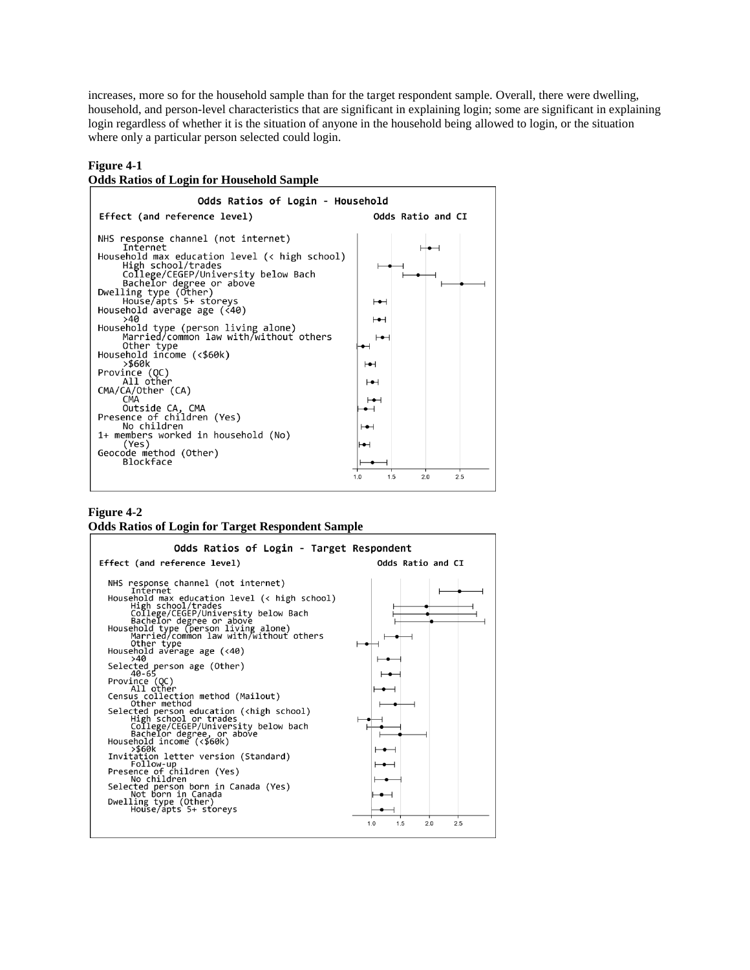increases, more so for the household sample than for the target respondent sample. Overall, there were dwelling, household, and person-level characteristics that are significant in explaining login; some are significant in explaining login regardless of whether it is the situation of anyone in the household being allowed to login, or the situation where only a particular person selected could login.

#### **Figure 4-1**



#### **Figure 4-2**

#### **Odds Ratios of Login for Target Respondent Sample**